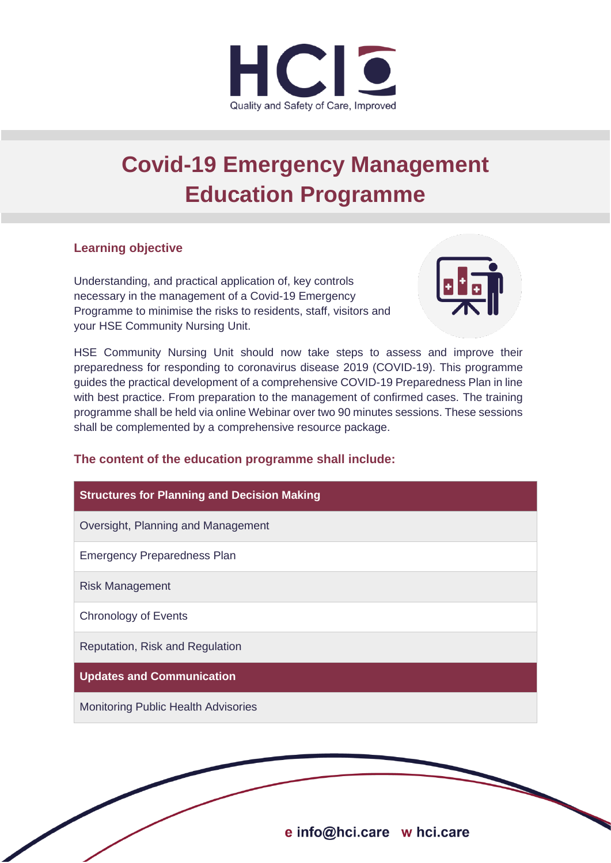

# **Covid-19 Emergency Management Education Programme**

### **Learning objective**

Understanding, and practical application of, key controls necessary in the management of a Covid-19 Emergency Programme to minimise the risks to residents, staff, visitors and your HSE Community Nursing Unit.



HSE Community Nursing Unit should now take steps to assess and improve their preparedness for responding to coronavirus disease 2019 (COVID-19). This programme guides the practical development of a comprehensive COVID-19 Preparedness Plan in line with best practice. From preparation to the management of confirmed cases. The training programme shall be held via online Webinar over two 90 minutes sessions. These sessions shall be complemented by a comprehensive resource package.

# **The content of the education programme shall include:**

| <b>Structures for Planning and Decision Making</b> |
|----------------------------------------------------|
| Oversight, Planning and Management                 |
| <b>Emergency Preparedness Plan</b>                 |
| <b>Risk Management</b>                             |
| <b>Chronology of Events</b>                        |
| Reputation, Risk and Regulation                    |
| <b>Updates and Communication</b>                   |
| <b>Monitoring Public Health Advisories</b>         |
|                                                    |

e info@hci.care w hci.care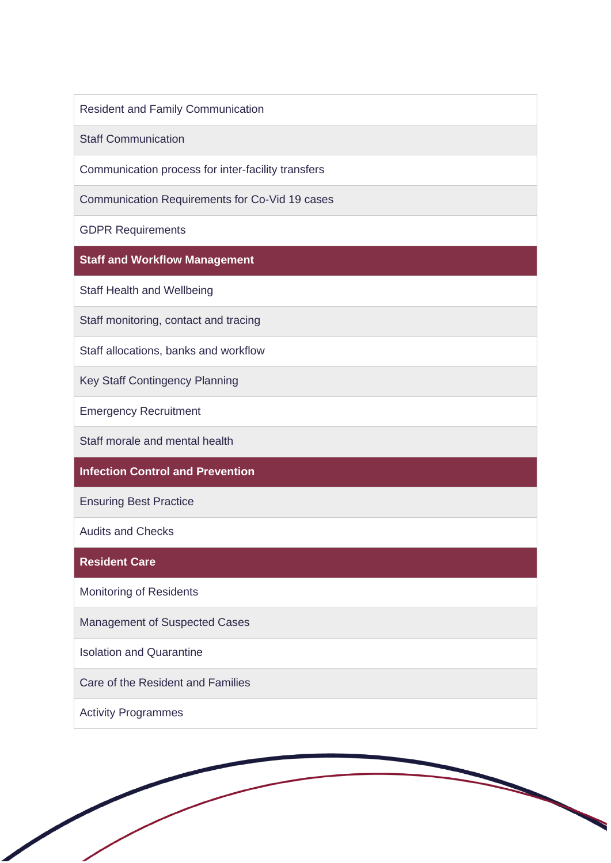Resident and Family Communication

Staff Communication

Communication process for inter-facility transfers

Communication Requirements for Co-Vid 19 cases

GDPR Requirements

**Staff and Workflow Management** 

Staff Health and Wellbeing

Staff monitoring, contact and tracing

Staff allocations, banks and workflow

Key Staff Contingency Planning

Emergency Recruitment

Staff morale and mental health

## **Infection Control and Prevention**

Ensuring Best Practice

Audits and Checks

#### **Resident Care**

Monitoring of Residents

Management of Suspected Cases

Isolation and Quarantine

Care of the Resident and Families

Activity Programmes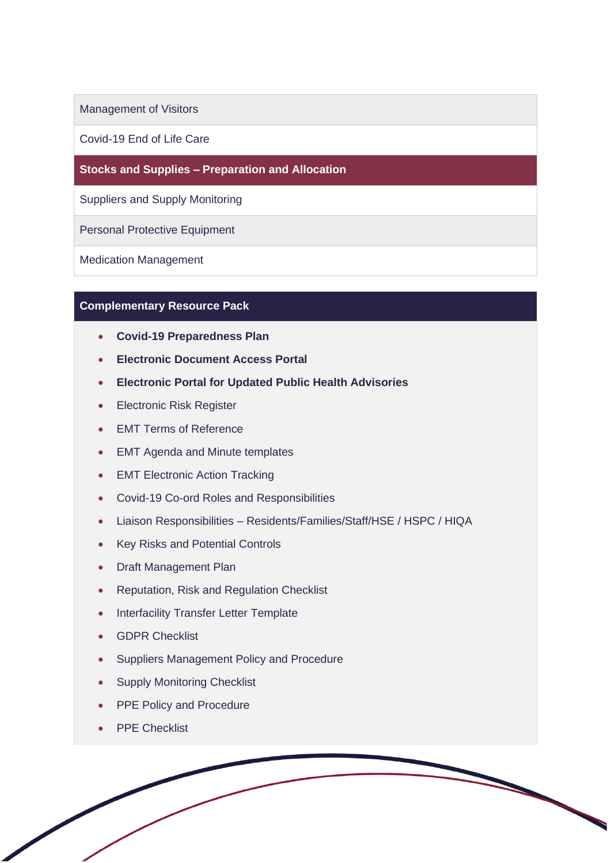Management of Visitors

Covid-19 End of Life Care

**Stocks and Supplies – Preparation and Allocation**

Suppliers and Supply Monitoring

Personal Protective Equipment

Medication Management

#### **Complementary Resource Pack**

- **Covid-19 Preparedness Plan**
- **Electronic Document Access Portal**
- **Electronic Portal for Updated Public Health Advisories**
- Electronic Risk Register
- EMT Terms of Reference
- EMT Agenda and Minute templates
- EMT Electronic Action Tracking
- Covid-19 Co-ord Roles and Responsibilities
- Liaison Responsibilities Residents/Families/Staff/HSE / HSPC / HIQA
- Key Risks and Potential Controls
- Draft Management Plan
- Reputation, Risk and Regulation Checklist
- Interfacility Transfer Letter Template
- GDPR Checklist
- Suppliers Management Policy and Procedure
- **Supply Monitoring Checklist**
- **PPE Policy and Procedure**
- PPE Checklist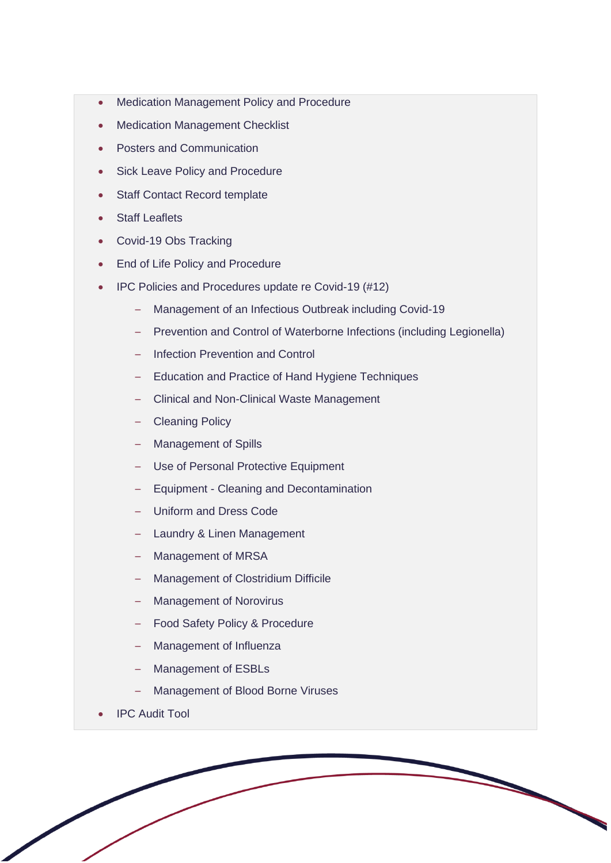- Medication Management Policy and Procedure
- **Medication Management Checklist**
- Posters and Communication
- Sick Leave Policy and Procedure
- Staff Contact Record template
- Staff Leaflets
- Covid-19 Obs Tracking
- End of Life Policy and Procedure
- IPC Policies and Procedures update re Covid-19 (#12)
	- Management of an Infectious Outbreak including Covid-19
	- Prevention and Control of Waterborne Infections (including Legionella)
	- Infection Prevention and Control
	- Education and Practice of Hand Hygiene Techniques
	- Clinical and Non-Clinical Waste Management
	- Cleaning Policy
	- Management of Spills
	- Use of Personal Protective Equipment
	- Equipment Cleaning and Decontamination
	- Uniform and Dress Code
	- Laundry & Linen Management
	- Management of MRSA
	- Management of Clostridium Difficile
	- Management of Norovirus
	- Food Safety Policy & Procedure
	- Management of Influenza
	- Management of ESBLs
	- Management of Blood Borne Viruses
- IPC Audit Tool